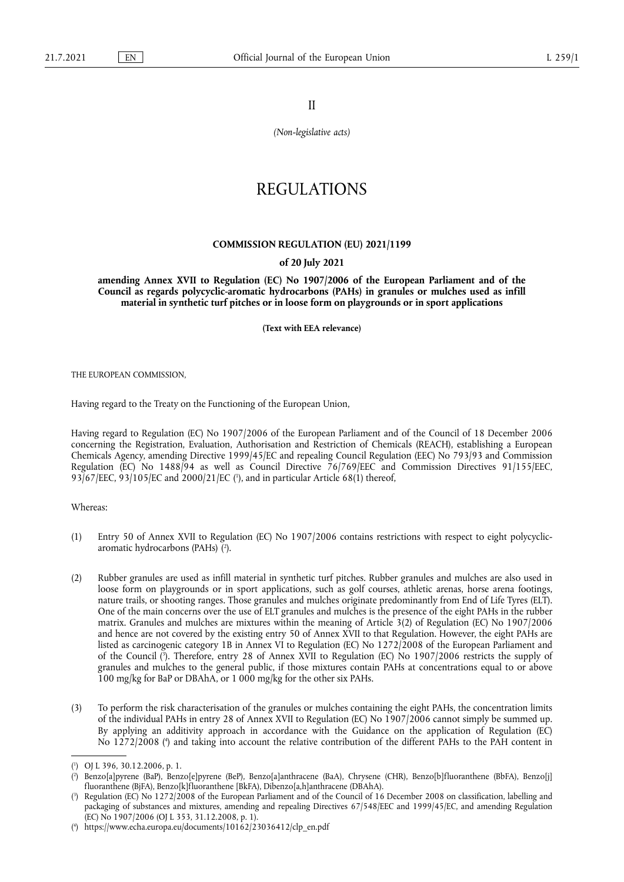II

*(Non-legislative acts)*

## REGULATIONS

## **COMMISSION REGULATION (EU) 2021/1199**

## **of 20 July 2021**

**amending Annex XVII to Regulation (EC) No 1907/2006 of the European Parliament and of the Council as regards polycyclic-aromatic hydrocarbons (PAHs) in granules or mulches used as infill material in synthetic turf pitches or in loose form on playgrounds or in sport applications** 

**(Text with EEA relevance)** 

THE EUROPEAN COMMISSION,

Having regard to the Treaty on the Functioning of the European Union,

Having regard to Regulation (EC) No 1907/2006 of the European Parliament and of the Council of 18 December 2006 concerning the Registration, Evaluation, Authorisation and Restriction of Chemicals (REACH), establishing a European Chemicals Agency, amending Directive 1999/45/EC and repealing Council Regulation (EEC) No 793/93 and Commission Regulation (EC) No 1488/94 as well as Council Directive 76/769/EEC and Commission Directives 91/155/EEC, 93/67/EEC, 93/105/EC and 2000/21/EC [\(](#page-0-0)<sup>1</sup>), and in particular Article 68(1) thereof,

<span id="page-0-4"></span>Whereas:

- <span id="page-0-5"></span>(1) Entry 50 of Annex XVII to Regulation (EC) No 1907/2006 contains restrictions with respect to eight polycyclicaromatic hydrocarbons (PAHs) ( 2 [\).](#page-0-1)
- (2) Rubber granules are used as infill material in synthetic turf pitches. Rubber granules and mulches are also used in loose form on playgrounds or in sport applications, such as golf courses, athletic arenas, horse arena footings, nature trails, or shooting ranges. Those granules and mulches originate predominantly from End of Life Tyres (ELT). One of the main concerns over the use of ELT granules and mulches is the presence of the eight PAHs in the rubber matrix. Granules and mulches are mixtures within the meaning of Article 3(2) of Regulation (EC) No 1907/2006 and hence are not covered by the existing entry 50 of Annex XVII to that Regulation. However, the eight PAHs are listed as carcinogenic category 1B in Annex VI to Regulation (EC) No 1272/2008 of the European Parliament and of the Council [\(](#page-0-2) 3 ). Therefore, entry 28 of Annex XVII to Regulation (EC) No 1907/2006 restricts the supply of granules and mulches to the general public, if those mixtures contain PAHs at concentrations equal to or above 100 mg/kg for BaP or DBAhA, or 1 000 mg/kg for the other six PAHs.
- <span id="page-0-6"></span>(3) To perform the risk characterisation of the granules or mulches containing the eight PAHs, the concentration limits of the individual PAHs in entry 28 of Annex XVII to Regulation (EC) No 1907/2006 cannot simply be summed up. By applying an additivity approach in accordance with the Guidance on the application of Regulation (EC) No 1272/2008 [\(](#page-0-3) 4 ) and taking into account the relative contribution of the different PAHs to the PAH content in

<span id="page-0-7"></span><span id="page-0-0"></span>[<sup>\(</sup>](#page-0-4) 1 ) OJ L 396, 30.12.2006, p. 1.

<span id="page-0-1"></span>[<sup>\(</sup>](#page-0-5) 2 ) Benzo[a]pyrene (BaP), Benzo[e]pyrene (BeP), Benzo[a]anthracene (BaA), Chrysene (CHR), Benzo[b]fluoranthene (BbFA), Benzo[j] fluoranthene (BjFA), Benzo[k]fluoranthene [BkFA), Dibenzo[a,h]anthracene (DBAhA).

<span id="page-0-2"></span>[<sup>\(</sup>](#page-0-6) 3 ) Regulation (EC) No 1272/2008 of the European Parliament and of the Council of 16 December 2008 on classification, labelling and packaging of substances and mixtures, amending and repealing Directives 67/548/EEC and 1999/45/EC, and amending Regulation (EC) No 1907/2006 (OJ L 353, 31.12.2008, p. 1).

<span id="page-0-3"></span><sup>(</sup> 4 [\)](#page-0-7) [https://www.echa.europa.eu/documents/10162/23036412/clp\\_en.pdf](https://www.echa.europa.eu/documents/10162/23036412/clp_en.pdf)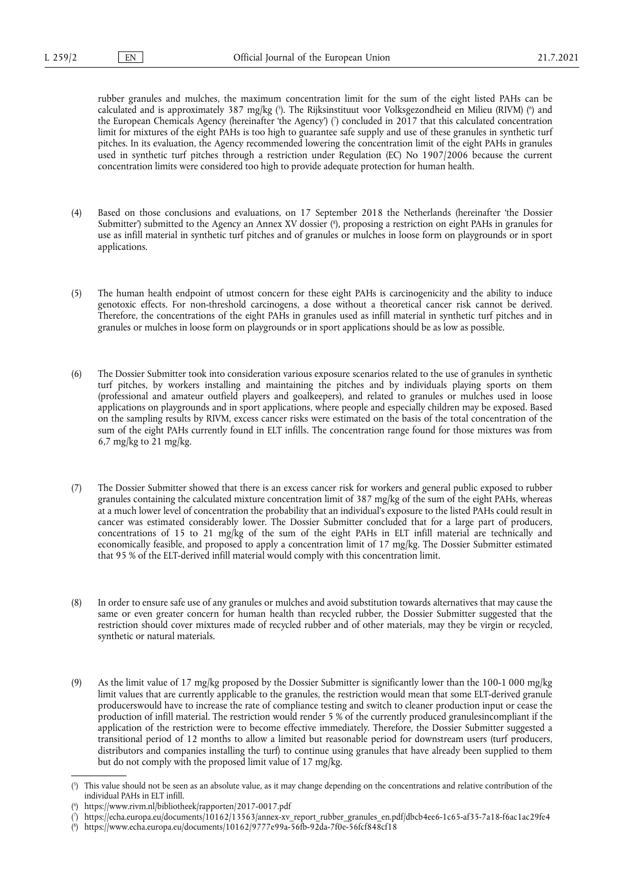<span id="page-1-5"></span><span id="page-1-4"></span>rubber granules and mulches, the maximum concentration limit for the sum of the eight listed PAHs can be calculated and is approximately 387 mg/kg [\(](#page-1-1)?). The Rijksinstituut voor Volksgezondheid en Milieu (RIVM) (°) and the European Chemicals Agency (hereinafter 'the Agency') [\(](#page-1-2) 7 ) concluded in 2017 that this calculated concentration limit for mixtures of the eight PAHs is too high to guarantee safe supply and use of these granules in synthetic turf pitches. In its evaluation, the Agency recommended lowering the concentration limit of the eight PAHs in granules used in synthetic turf pitches through a restriction under Regulation (EC) No 1907/2006 because the current concentration limits were considered too high to provide adequate protection for human health.

- <span id="page-1-6"></span>(4) Based on those conclusions and evaluations, on 17 September 2018 the Netherlands (hereinafter 'the Dossier Submitter') submitted to the Agency an Annex XV dossier ( 8 [\),](#page-1-3) proposing a restriction on eight PAHs in granules for use as infill material in synthetic turf pitches and of granules or mulches in loose form on playgrounds or in sport applications.
- (5) The human health endpoint of utmost concern for these eight PAHs is carcinogenicity and the ability to induce genotoxic effects. For non-threshold carcinogens, a dose without a theoretical cancer risk cannot be derived. Therefore, the concentrations of the eight PAHs in granules used as infill material in synthetic turf pitches and in granules or mulches in loose form on playgrounds or in sport applications should be as low as possible.
- (6) The Dossier Submitter took into consideration various exposure scenarios related to the use of granules in synthetic turf pitches, by workers installing and maintaining the pitches and by individuals playing sports on them (professional and amateur outfield players and goalkeepers), and related to granules or mulches used in loose applications on playgrounds and in sport applications, where people and especially children may be exposed. Based on the sampling results by RIVM, excess cancer risks were estimated on the basis of the total concentration of the sum of the eight PAHs currently found in ELT infills. The concentration range found for those mixtures was from 6,7 mg/kg to 21 mg/kg.
- (7) The Dossier Submitter showed that there is an excess cancer risk for workers and general public exposed to rubber granules containing the calculated mixture concentration limit of 387 mg/kg of the sum of the eight PAHs, whereas at a much lower level of concentration the probability that an individual's exposure to the listed PAHs could result in cancer was estimated considerably lower. The Dossier Submitter concluded that for a large part of producers, concentrations of 15 to 21 mg/kg of the sum of the eight PAHs in ELT infill material are technically and economically feasible, and proposed to apply a concentration limit of 17 mg/kg. The Dossier Submitter estimated that 95 % of the ELT-derived infill material would comply with this concentration limit.
- (8) In order to ensure safe use of any granules or mulches and avoid substitution towards alternatives that may cause the same or even greater concern for human health than recycled rubber, the Dossier Submitter suggested that the restriction should cover mixtures made of recycled rubber and of other materials, may they be virgin or recycled, synthetic or natural materials.
- (9) As the limit value of 17 mg/kg proposed by the Dossier Submitter is significantly lower than the 100-1 000 mg/kg limit values that are currently applicable to the granules, the restriction would mean that some ELT-derived granule producerswould have to increase the rate of compliance testing and switch to cleaner production input or cease the production of infill material. The restriction would render 5 % of the currently produced granulesincompliant if the application of the restriction were to become effective immediately. Therefore, the Dossier Submitter suggested a transitional period of 12 months to allow a limited but reasonable period for downstream users (turf producers, distributors and companies installing the turf) to continue using granules that have already been supplied to them but do not comply with the proposed limit value of 17 mg/kg.

<span id="page-1-0"></span>[<sup>\(</sup>](#page-1-4) 5 ) This value should not be seen as an absolute value, as it may change depending on the concentrations and relative contribution of the individual PAHs in ELT infill.

<span id="page-1-1"></span>[<sup>\(</sup>](#page-1-4) 6 ) <https://www.rivm.nl/bibliotheek/rapporten/2017-0017.pdf>

<span id="page-1-2"></span>[<sup>\(</sup>](#page-1-5) 7 ) [https://echa.europa.eu/documents/10162/13563/annex-xv\\_report\\_rubber\\_granules\\_en.pdf/dbcb4ee6-1c65-af35-7a18-f6ac1ac29fe4](https://echa.europa.eu/documents/10162/13563/annex-xv_report_rubber_granules_en.pdf/dbcb4ee6-1c65-af35-7a18-f6ac1ac29fe4)

<span id="page-1-3"></span><sup>(</sup> 8 [\)](#page-1-6) <https://www.echa.europa.eu/documents/10162/9777e99a-56fb-92da-7f0e-56fcf848cf18>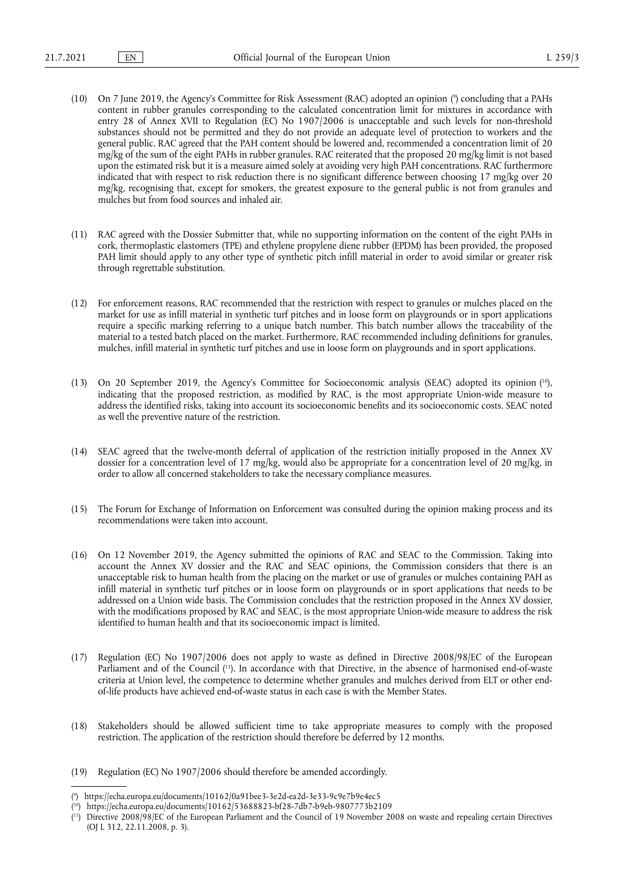- <span id="page-2-3"></span>(10) On 7 June 2019, the Agency's Committee for Risk Assessment (RAC) adopted an opinion [\(](#page-2-0) 9 ) concluding that a PAHs content in rubber granules corresponding to the calculated concentration limit for mixtures in accordance with entry 28 of Annex XVII to Regulation (EC) No 1907/2006 is unacceptable and such levels for non-threshold substances should not be permitted and they do not provide an adequate level of protection to workers and the general public. RAC agreed that the PAH content should be lowered and, recommended a concentration limit of 20 mg/kg of the sum of the eight PAHs in rubber granules. RAC reiterated that the proposed 20 mg/kg limit is not based upon the estimated risk but it is a measure aimed solely at avoiding very high PAH concentrations. RAC furthermore indicated that with respect to risk reduction there is no significant difference between choosing 17 mg/kg over 20 mg/kg, recognising that, except for smokers, the greatest exposure to the general public is not from granules and mulches but from food sources and inhaled air.
- (11) RAC agreed with the Dossier Submitter that, while no supporting information on the content of the eight PAHs in cork, thermoplastic elastomers (TPE) and ethylene propylene diene rubber (EPDM) has been provided, the proposed PAH limit should apply to any other type of synthetic pitch infill material in order to avoid similar or greater risk through regrettable substitution.
- (12) For enforcement reasons, RAC recommended that the restriction with respect to granules or mulches placed on the market for use as infill material in synthetic turf pitches and in loose form on playgrounds or in sport applications require a specific marking referring to a unique batch number. This batch number allows the traceability of the material to a tested batch placed on the market. Furthermore, RAC recommended including definitions for granules, mulches, infill material in synthetic turf pitches and use in loose form on playgrounds and in sport applications.
- <span id="page-2-4"></span>(13) On 20 September 2019, the Agency's Committee for Socioeconomic analysis (SEAC) adopted its opinion ( [10\)](#page-2-1), indicating that the proposed restriction, as modified by RAC, is the most appropriate Union-wide measure to address the identified risks, taking into account its socioeconomic benefits and its socioeconomic costs. SEAC noted as well the preventive nature of the restriction.
- (14) SEAC agreed that the twelve-month deferral of application of the restriction initially proposed in the Annex XV dossier for a concentration level of 17 mg/kg, would also be appropriate for a concentration level of 20 mg/kg, in order to allow all concerned stakeholders to take the necessary compliance measures.
- (15) The Forum for Exchange of Information on Enforcement was consulted during the opinion making process and its recommendations were taken into account.
- (16) On 12 November 2019, the Agency submitted the opinions of RAC and SEAC to the Commission. Taking into account the Annex XV dossier and the RAC and SEAC opinions, the Commission considers that there is an unacceptable risk to human health from the placing on the market or use of granules or mulches containing PAH as infill material in synthetic turf pitches or in loose form on playgrounds or in sport applications that needs to be addressed on a Union wide basis. The Commission concludes that the restriction proposed in the Annex XV dossier, with the modifications proposed by RAC and SEAC, is the most appropriate Union-wide measure to address the risk identified to human health and that its socioeconomic impact is limited.
- <span id="page-2-5"></span>(17) Regulation (EC) No 1907/2006 does not apply to waste as defined in Directive 2008/98/EC of the European Parliament and of the Council ( [11\).](#page-2-2) In accordance with that Directive, in the absence of harmonised end-of-waste criteria at Union level, the competence to determine whether granules and mulches derived from ELT or other endof-life products have achieved end-of-waste status in each case is with the Member States.
- (18) Stakeholders should be allowed sufficient time to take appropriate measures to comply with the proposed restriction. The application of the restriction should therefore be deferred by 12 months.
- (19) Regulation (EC) No 1907/2006 should therefore be amended accordingly.

<span id="page-2-0"></span>[<sup>\(</sup>](#page-2-3) 9 ) <https://echa.europa.eu/documents/10162/0a91bee3-3e2d-ea2d-3e33-9c9e7b9e4ec5>

<span id="page-2-1"></span><sup>(</sup> [10\)](#page-2-4) <https://echa.europa.eu/documents/10162/53688823-bf28-7db7-b9eb-9807773b2109>

<span id="page-2-2"></span><sup>(</sup> [11\)](#page-2-5) Directive 2008/98/EC of the European Parliament and the Council of 19 November 2008 on waste and repealing certain Directives (OJ L 312, 22.11.2008, p. 3).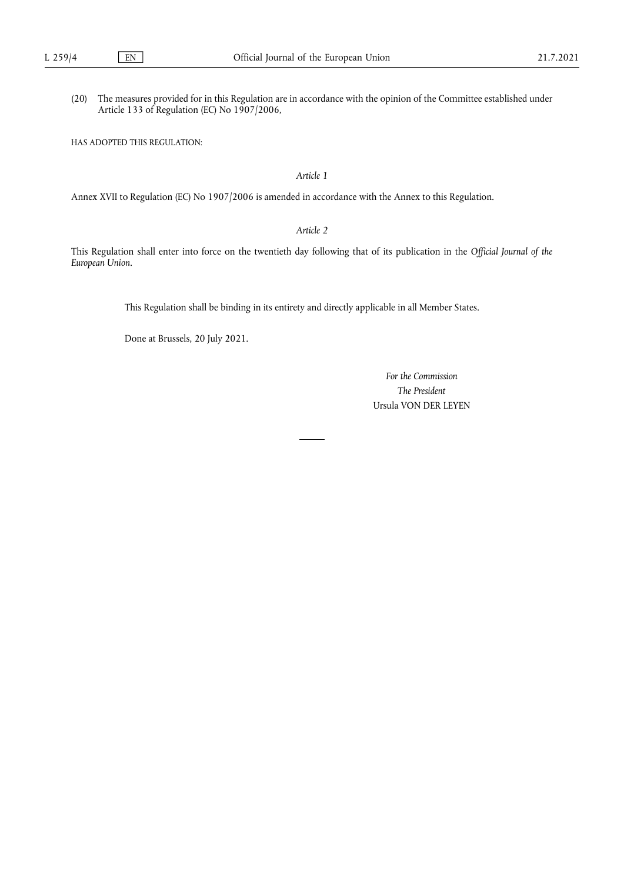(20) The measures provided for in this Regulation are in accordance with the opinion of the Committee established under Article 133 of Regulation (EC) No 1907/2006,

HAS ADOPTED THIS REGULATION:

*Article 1*

Annex XVII to Regulation (EC) No 1907/2006 is amended in accordance with the Annex to this Regulation.

*Article 2*

This Regulation shall enter into force on the twentieth day following that of its publication in the *Official Journal of the European Union*.

This Regulation shall be binding in its entirety and directly applicable in all Member States.

Done at Brussels, 20 July 2021.

*For the Commission The President* Ursula VON DER LEYEN